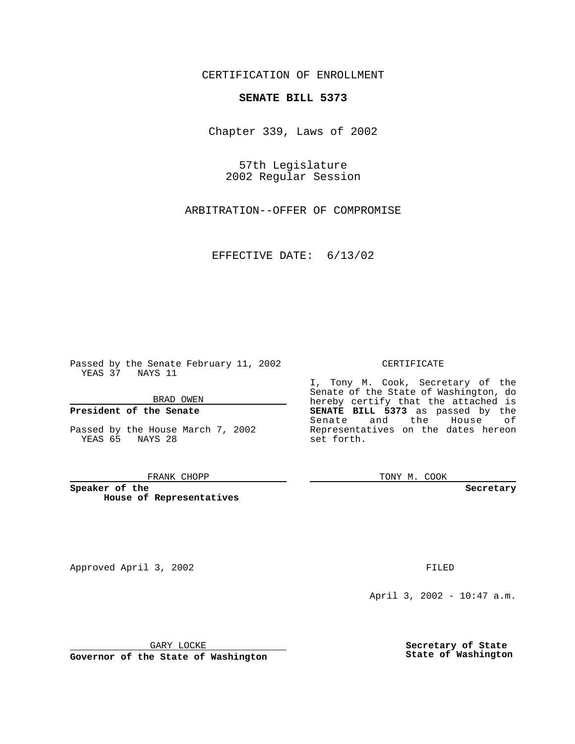CERTIFICATION OF ENROLLMENT

# **SENATE BILL 5373**

Chapter 339, Laws of 2002

57th Legislature 2002 Regular Session

ARBITRATION--OFFER OF COMPROMISE

EFFECTIVE DATE: 6/13/02

Passed by the Senate February 11, 2002 YEAS 37 NAYS 11

BRAD OWEN

### **President of the Senate**

Passed by the House March 7, 2002 YEAS 65 NAYS 28

#### FRANK CHOPP

**Speaker of the House of Representatives**

Approved April 3, 2002 **FILED** 

#### CERTIFICATE

I, Tony M. Cook, Secretary of the Senate of the State of Washington, do hereby certify that the attached is **SENATE BILL 5373** as passed by the Senate and the House of Representatives on the dates hereon set forth.

TONY M. COOK

**Secretary**

April 3, 2002 - 10:47 a.m.

GARY LOCKE

**Governor of the State of Washington**

**Secretary of State State of Washington**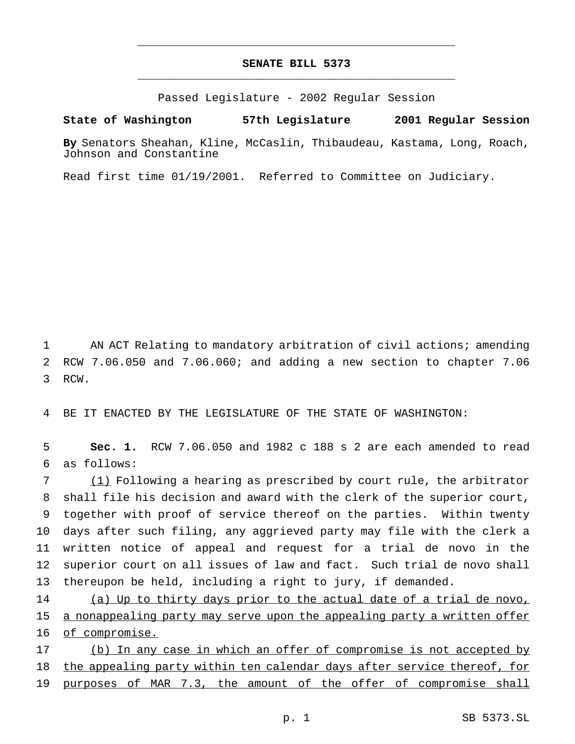# **SENATE BILL 5373** \_\_\_\_\_\_\_\_\_\_\_\_\_\_\_\_\_\_\_\_\_\_\_\_\_\_\_\_\_\_\_\_\_\_\_\_\_\_\_\_\_\_\_\_\_\_\_

\_\_\_\_\_\_\_\_\_\_\_\_\_\_\_\_\_\_\_\_\_\_\_\_\_\_\_\_\_\_\_\_\_\_\_\_\_\_\_\_\_\_\_\_\_\_\_

Passed Legislature - 2002 Regular Session

### **State of Washington 57th Legislature 2001 Regular Session**

**By** Senators Sheahan, Kline, McCaslin, Thibaudeau, Kastama, Long, Roach, Johnson and Constantine

Read first time 01/19/2001. Referred to Committee on Judiciary.

1 AN ACT Relating to mandatory arbitration of civil actions; amending 2 RCW 7.06.050 and 7.06.060; and adding a new section to chapter 7.06 3 RCW.

4 BE IT ENACTED BY THE LEGISLATURE OF THE STATE OF WASHINGTON:

5 **Sec. 1.** RCW 7.06.050 and 1982 c 188 s 2 are each amended to read 6 as follows:

 (1) Following a hearing as prescribed by court rule, the arbitrator shall file his decision and award with the clerk of the superior court, together with proof of service thereof on the parties. Within twenty days after such filing, any aggrieved party may file with the clerk a written notice of appeal and request for a trial de novo in the superior court on all issues of law and fact. Such trial de novo shall thereupon be held, including a right to jury, if demanded.

14 (a) Up to thirty days prior to the actual date of a trial de novo, 15 a nonappealing party may serve upon the appealing party a written offer 16 of compromise.

17 (b) In any case in which an offer of compromise is not accepted by 18 the appealing party within ten calendar days after service thereof, for 19 purposes of MAR 7.3, the amount of the offer of compromise shall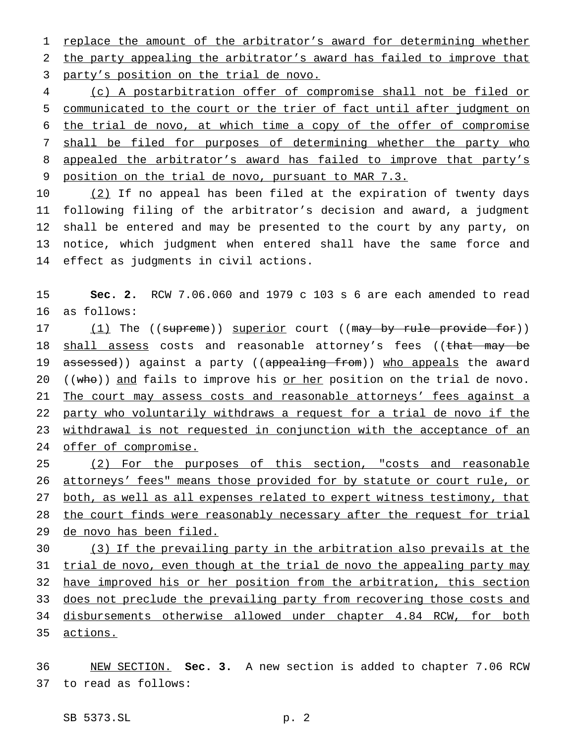1 replace the amount of the arbitrator's award for determining whether the party appealing the arbitrator's award has failed to improve that party's position on the trial de novo.

 (c) A postarbitration offer of compromise shall not be filed or communicated to the court or the trier of fact until after judgment on the trial de novo, at which time a copy of the offer of compromise 7 shall be filed for purposes of determining whether the party who 8 appealed the arbitrator's award has failed to improve that party's position on the trial de novo, pursuant to MAR 7.3.

10 (2) If no appeal has been filed at the expiration of twenty days following filing of the arbitrator's decision and award, a judgment shall be entered and may be presented to the court by any party, on notice, which judgment when entered shall have the same force and effect as judgments in civil actions.

 **Sec. 2.** RCW 7.06.060 and 1979 c 103 s 6 are each amended to read as follows:

17 (1) The ((supreme)) superior court ((may by rule provide for)) 18 shall assess costs and reasonable attorney's fees ((that may be 19 assessed)) against a party ((appealing from)) who appeals the award 20 (( $w$ ho)) and fails to improve his <u>or her</u> position on the trial de novo. 21 The court may assess costs and reasonable attorneys' fees against a party who voluntarily withdraws a request for a trial de novo if the withdrawal is not requested in conjunction with the acceptance of an 24 offer of compromise.

 (2) For the purposes of this section, "costs and reasonable attorneys' fees" means those provided for by statute or court rule, or both, as well as all expenses related to expert witness testimony, that 28 the court finds were reasonably necessary after the request for trial de novo has been filed.

 (3) If the prevailing party in the arbitration also prevails at the 31 trial de novo, even though at the trial de novo the appealing party may have improved his or her position from the arbitration, this section 33 does not preclude the prevailing party from recovering those costs and disbursements otherwise allowed under chapter 4.84 RCW, for both actions.

 NEW SECTION. **Sec. 3.** A new section is added to chapter 7.06 RCW to read as follows: